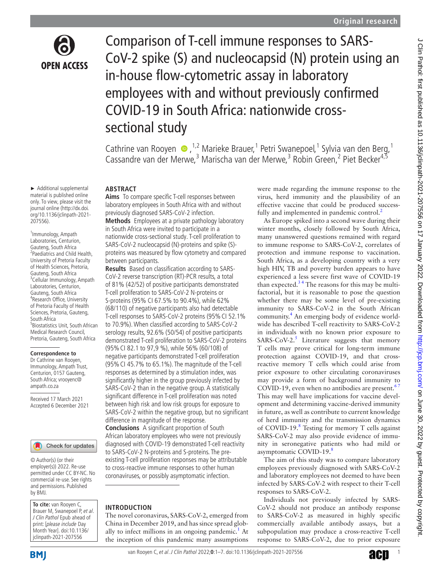

► Additional supplemental material is published online only. To view, please visit the journal online ([http://dx.doi.](http://dx.doi.org/10.1136/jclinpath-2021-207556) [org/10.1136/jclinpath-2021-](http://dx.doi.org/10.1136/jclinpath-2021-207556)

1 Immunology, Ampath Laboratories, Centurion, Gauteng, South Africa 2 Paediatrics and Child Health, University of Pretoria Faculty of Health Sciences, Pretoria, Gauteng, South Africa <sup>3</sup>Cellular Immunology, Ampath Laboratories, Centurion, Gauteng, South Africa 4 Research Office, University of Pretoria Faculty of Health Sciences, Pretoria, Gauteng,

[207556](http://dx.doi.org/10.1136/jclinpath-2021-207556)).

South Africa

5 Biostatistics Unit, South African Medical Research Council, Pretoria, Gauteng, South Africa

**Correspondence to** Dr Cathrine van Rooyen, Immunology, Ampath Trust, Centurion, 0157 Gauteng, South Africa; vrooyenc@ ampath.co.za

Received 17 March 2021 Accepted 6 December 2021

Comparison of T-cell immune responses to SARS-CoV-2 spike (S) and nucleocapsid (N) protein using an in-house flow-cytometric assay in laboratory employees with and without previously confirmed COVID-19 in South Africa: nationwide crosssectional study

Cathrine van Rooyen  $\bullet$ , <sup>1,2</sup> Marieke Brauer, <sup>1</sup> Petri Swanepoel, <sup>1</sup> Sylvia van den Berg, <sup>1</sup> Cassandre van der Merwe,<sup>3</sup> Marischa van der Merwe,<sup>3</sup> Robin Green,<sup>2</sup> Piet Becker<sup>4,5</sup>

#### **ABSTRACT**

**Aims** To compare specific T-cell responses between laboratory employees in South Africa with and without previously diagnosed SARS-CoV-2 infection.

**Methods** Employees at a private pathology laboratory in South Africa were invited to participate in a nationwide cross-sectional study. T-cell proliferation to SARS-CoV-2 nucleocapsid (N)-proteins and spike (S) proteins was measured by flow cytometry and compared between participants.

**Results** Based on classification according to SARS-CoV-2 reverse transcription (RT)-PCR results, a total of 81% (42/52) of positive participants demonstrated T-cell proliferation to SARS-CoV-2 N-proteins or S-proteins (95% CI 67.5% to 90.4%), while 62% (68/110) of negative participants also had detectable T-cell responses to SARS-CoV-2 proteins (95%CI 52.1% to 70.9%). When classified according to SARS-CoV-2 serology results, 92.6% (50/54) of positive participants demonstrated T-cell proliferation to SARS-CoV-2 proteins (95%CI 82.1 to 97,9 %), while 56% (60/108) of negative participants demonstrated T-cell proliferation (95%CI 45.7% to 65.1%). The magnitude of the T-cell responses as determined by a stimulation index, was significantly higher in the group previously infected by SARS-CoV-2 than in the negative group. A statistically significant difference in T-cell proliferation was noted between high risk and low risk groups for exposure to SARS-CoV-2 within the negative group, but no significant difference in magnitude of the response.

**Conclusions** A significant proportion of South African laboratory employees who were not previously diagnosed with COVID-19 demonstrated T-cell reactivity to SARS-CoV-2 N-proteins and S-proteins. The preexisting T-cell proliferation responses may be attributable to cross-reactive immune responses to other human coronaviruses, or possibly asymptomatic infection.

#### **INTRODUCTION**

The novel coronavirus, SARS-CoV-2, emerged from China in December 2019, and has since spread globally to infect millions in an ongoing pandemic.<sup>1</sup> At the inception of this pandemic many assumptions

were made regarding the immune response to the virus, herd immunity and the plausibility of an effective vaccine that could be produced successfully and implemented in pandemic control.<sup>2</sup>

As Europe spiked into a second wave during their winter months, closely followed by South Africa, many unanswered questions remained with regard to immune response to SARS-CoV-2, correlates of protection and immune response to vaccination. South Africa, as a developing country with a very high HIV, TB and poverty burden appears to have experienced a less severe first wave of COVID-19 than expected. $3<sup>4</sup>$  The reasons for this may be multifactorial, but it is reasonable to pose the question whether there may be some level of pre-existing immunity to SARS-CoV-2 in the South African community.<sup>[4](#page-6-3)</sup> An emerging body of evidence worldwide has described T-cell reactivity to SARS-CoV-2 in individuals with no known prior exposure to SARS-CoV-2. $^5$  $^5$  Literature suggests that memory T cells may prove critical for long-term immune protection against COVID-19, and that crossreactive memory T cells which could arise from prior exposure to other circulating coronaviruses may provide a form of background immunity to COVID-19, even when no antibodies are present. $6'$ This may well have implications for vaccine development and determining vaccine-derived immunity in future, as well as contribute to current knowledge of herd immunity and the transmission dynamics of COVID-19. $8$  Testing for memory T cells against SARS-CoV-2 may also provide evidence of immunity in seronegative patients who had mild or asymptomatic COVID-19.<sup>8</sup>

The aim of this study was to compare laboratory employees previously diagnosed with SARS-CoV-2 and laboratory employees not deemed to have been infected by SARS-CoV-2 with respect to their T-cell responses to SARS-CoV-2.

Individuals not previously infected by SARS-CoV-2 should not produce an antibody response to SARS-CoV-2 as measured in highly specific commercially available antibody assays, but a subpopulation may produce a cross-reactive T-cell response to SARS-CoV-2, due to prior exposure

by BMJ.

**To cite:** van Rooyen C, Brauer M, Swanepoel P, et al. J Clin Pathol Epub ahead of print: [please include Day Month Year]. doi:10.1136/ jclinpath-2021-207556

© Author(s) (or their employer(s)) 2022. Re-use permitted under CC BY-NC. No commercial re-use. See rights and permissions. Published

Check for updates

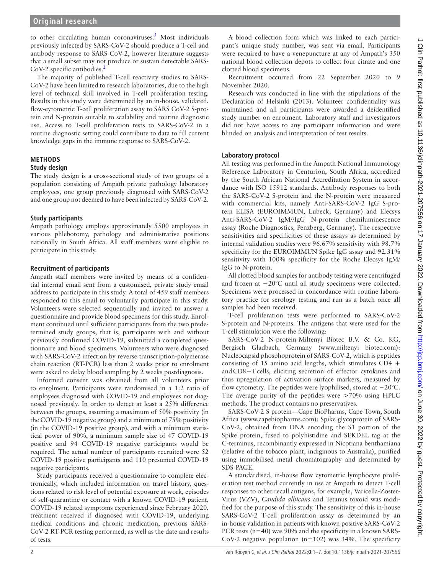to other circulating human coronaviruses.<sup>5</sup> Most individuals previously infected by SARS-CoV-2 should produce a T-cell and antibody response to SARS-CoV-2, however literature suggests that a small subset may not produce or sustain detectable SARS-CoV-[2](#page-6-1) specific antibodies.<sup>2</sup>

The majority of published T-cell reactivity studies to SARS-CoV-2 have been limited to research laboratories, due to the high level of technical skill involved in T-cell proliferation testing. Results in this study were determined by an in-house, validated, flow-cytometric T-cell proliferation assay to SARS CoV-2 S-protein and N-protein suitable to scalability and routine diagnostic use. Access to T-cell proliferation tests to SARS-CoV-2 in a routine diagnostic setting could contribute to data to fill current knowledge gaps in the immune response to SARS-CoV-2.

## **METHODS**

#### **Study design**

The study design is a cross-sectional study of two groups of a population consisting of Ampath private pathology laboratory employees, one group previously diagnosed with SARS-CoV-2 and one group not deemed to have been infected by SARS-CoV-2.

## **Study participants**

Ampath pathology employs approximately 5500 employees in various phlebotomy, pathology and administrative positions nationally in South Africa. All staff members were eligible to participate in this study.

### **Recruitment of participants**

Ampath staff members were invited by means of a confidential internal email sent from a customised, private study email address to participate in this study. A total of 459 staff members responded to this email to voluntarily participate in this study. Volunteers were selected sequentially and invited to answer a questionnaire and provide blood specimens for this study. Enrolment continued until sufficient participants from the two predetermined study groups, that is, participants with and without previously confirmed COVID-19, submitted a completed questionnaire and blood specimens. Volunteers who were diagnosed with SARS-CoV-2 infection by reverse transcription-polymerase chain reaction (RT-PCR) less than 2 weeks prior to enrolment were asked to delay blood sampling by 2 weeks postdiagnosis.

Informed consent was obtained from all volunteers prior to enrolment. Participants were randomised in a 1:2 ratio of employees diagnosed with COVID-19 and employees not diagnosed previously. In order to detect at least a 25% difference between the groups, assuming a maximum of 50% positivity (in the COVID-19 negative group) and a minimum of 75% positivity (in the COVID-19 positive group), and with a minimum statistical power of 90%, a minimum sample size of 47 COVID-19 positive and 94 COVID-19 negative participants would be required. The actual number of participants recruited were 52 COVID-19 positive participants and 110 presumed COVID-19 negative participants.

Study participants received a questionnaire to complete electronically, which included information on travel history, questions related to risk level of potential exposure at work, episodes of self-quarantine or contact with a known COVID-19 patient, COVID-19 related symptoms experienced since February 2020, treatment received if diagnosed with COVID-19, underlying medical conditions and chronic medication, previous SARS-CoV-2 RT-PCR testing performed, as well as the date and results of tests.

A blood collection form which was linked to each participant's unique study number, was sent via email. Participants were required to have a venepuncture at any of Ampath's 350 national blood collection depots to collect four citrate and one clotted blood specimens.

Recruitment occurred from 22 September 2020 to 9 November 2020.

Research was conducted in line with the stipulations of the Declaration of Helsinki (2013). Volunteer confidentiality was maintained and all participants were awarded a deidentified study number on enrolment. Laboratory staff and investigators did not have access to any participant information and were blinded on analysis and interpretation of test results.

### **Laboratory protocol**

All testing was performed in the Ampath National Immunology Reference Laboratory in Centurion, South Africa, accredited by the South African National Accreditation System in accordance with ISO 15912 standards. Antibody responses to both the SARS-CoV-2 S-protein and the N-protein were measured with commercial kits, namely Anti-SARS-CoV-2 IgG S-protein ELISA (EUROIMMUN, Lubeck, Germany) and Elecsys Anti-SARS-CoV-2 IgM//IgG N-protein chemiluminescence assay (Roche Diagnostics, Penzberg, Germany). The respective sensitivities and specificities of these assays as determined by internal validation studies were 96.67% sensitivity with 98.7% specificity for the EUROIMMUN Spike IgG assay and 92.31% sensitivity with 100% specificity for the Roche Elecsys IgM/ IgG to N-protein.

All clotted blood samples for antibody testing were centrifuged and frozen at −20°C until all study specimens were collected. Specimens were processed in concordance with routine laboratory practice for serology testing and run as a batch once all samples had been received.

T-cell proliferation tests were performed to SARS-CoV-2 S-protein and N-proteins. The antigens that were used for the T-cell stimulation were the following:

SARS-CoV-2 N-protein-Miltenyi Biotec B.V. & Co. KG, Bergisch Gladbach, Germany (www.miltenyi biotec.com): Nucleocapsid phosphoprotein of SARS-CoV-2, which is peptides consisting of 15 amino acid lengths, which stimulates CD4 + and CD8+T cells, eliciting secretion of effector cytokines and thus upregulation of activation surface markers, measured by flow cytometry. The peptides were lyophilised, stored at −20°C. The average purity of the peptides were >70% using HPLC methods. The product contains no preservatives.

SARS-CoV-2 S protein—Cape BioPharms, Cape Town, South Africa (<www.capebiopharms.com>): Spike glycoprotein of SARS-CoV-2, obtained from DNA encoding the S1 portion of the Spike protein, fused to polyhistidine and SEKDEL tag at the C-terminus, recombinantly expressed in Nicotiana benthamiana (relative of the tobacco plant, indiginous to Australia), purified using immobilised metal chromatography and determined by SDS-PAGE.

A standardised, in-house flow cytometric lymphocyte proliferation test method currently in use at Ampath to detect T-cell responses to other recall antigens, for example, Varicella-Zoster-Virus (VZV), *Candida albicans* and Tetanus toxoid was modified for the purpose of this study. The sensitivity of this in-house SARS-CoV-2 T-cell proliferation assay as determined by an in-house validation in patients with known positive SARS-CoV-2 PCR tests (n=40) was 90% and the specificity in a known SARS-CoV-2 negative population ( $n=102$ ) was 34%. The specificity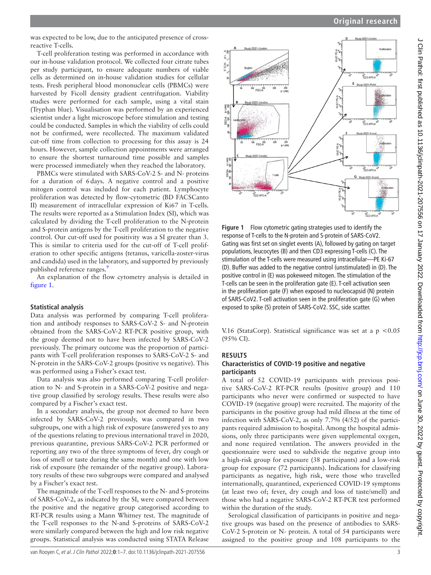J Clin Pathol: first published as 10.1136/jclinpath-2021-207556 on 17 January 2022. Downloaded from http://jcp.bmj.com/ on June 30, 2022 by guest. Protected by copyright J Clin Pathol: first published as 10.1136/jclinpath-2021-20756 on 17 January 2022. Downloaded from <http://jcp.bmj.com/> on June 30, 2022 by guest. Protected by copyright.

was expected to be low, due to the anticipated presence of crossreactive T-cells.

T-cell proliferation testing was performed in accordance with our in-house validation protocol. We collected four citrate tubes per study participant, to ensure adequate numbers of viable cells as determined on in-house validation studies for cellular tests. Fresh peripheral blood mononuclear cells (PBMCs) were harvested by Ficoll density gradient centrifugation. Viability studies were performed for each sample, using a vital stain (Tryphan blue). Visualisation was performed by an experienced scientist under a light microscope before stimulation and testing could be conducted. Samples in which the viability of cells could not be confirmed, were recollected. The maximum validated cut-off time from collection to processing for this assay is 24 hours. However, sample collection appointments were arranged to ensure the shortest turnaround time possible and samples were processed immediately when they reached the laboratory.

PBMCs were stimulated with SARS-CoV-2 S- and N- proteins for a duration of 6days. A negative control and a positive mitogen control was included for each patient. Lymphocyte proliferation was detected by flow-cytometric (BD FACSCanto II) measurement of intracellular expression of Ki67 in T-cells. The results were reported as a Stimulation Index (SI), which was calculated by dividing the T-cell proliferation to the N-protein and S-protein antigens by the T-cell proliferation to the negative control. Our cut-off used for positivity was a SI greater than 3. This is similar to criteria used for the cut-off of T-cell proliferation to other specific antigens (tetanus, varicella-zoster-virus and candida) used in the laboratory, and supported by previously published reference ranges.<sup>9</sup>

An explanation of the flow cytometry analysis is detailed in [figure](#page-2-0) 1.

#### **Statistical analysis**

Data analysis was performed by comparing T-cell proliferation and antibody responses to SARS-CoV-2 S- and N-protein obtained from the SARS-CoV-2 RT-PCR positive group, with the group deemed not to have been infected by SARS-CoV-2 previously. The primary outcome was the proportion of participants with T-cell proliferation responses to SARS-CoV-2 S- and N-protein in the SARS-CoV-2 groups (positive vs negative). This was performed using a Fisher's exact test.

Data analysis was also performed comparing T-cell proliferation to N- and S-protein in a SARS-CoV-2 positive and negative group classified by serology results. These results were also compared by a Fischer's exact test.

In a secondary analysis, the group not deemed to have been infected by SARS-CoV-2 previously, was compared in two subgroups, one with a high risk of exposure (answered yes to any of the questions relating to previous international travel in 2020, previous quarantine, previous SARS-CoV-2 PCR performed or reporting any two of the three symptoms of fever, dry cough or loss of smell or taste during the same month) and one with low risk of exposure (the remainder of the negative group). Laboratory results of these two subgroups were compared and analysed by a Fischer's exact test.

The magnitude of the T-cell responses to the N- and S-proteins of SARS-CoV-2, as indicated by the SI, were compared between the positive and the negative group categorised according to RT-PCR results using a Mann Whitney test. The magnitude of the T-cell responses to the N-and S-proteins of SARS-CoV-2 were similarly compared between the high and low risk negative groups. Statistical analysis was conducted using STATA Release



<span id="page-2-0"></span>**Figure 1** Flow cytometric gating strategies used to identify the response of T-cells to the N-protein and S-protein of SARS-CoV2. Gating was first set on singlet events (A), followed by gating on target populations, leucocytes (B) and then CD3 expressing T-cells (C). The stimulation of the T-cells were measured using intracellular—PE Ki-67 (D). Buffer was added to the negative control (unstimulated) in (D). The positive control in (E) was pokeweed mitogen. The stimulation of the T-cells can be seen in the proliferation gate (E). T-cell activation seen in the proliferation gate (F) when exposed to nucleocapsid (N) protein of SARS-CoV2. T-cell activation seen in the proliferation gate (G) when exposed to spike (S) protein of SARS-CoV2. SSC, side scatter.

V.16 (StataCorp). Statistical significance was set at a p <0.05 (95% CI).

#### **RESULTS**

#### **Characteristics of COVID-19 positive and negative participants**

A total of 52 COVID-19 participants with previous positive SARS-CoV-2 RT-PCR results (positive group) and 110 participants who never were confirmed or suspected to have COVID-19 (negative group) were recruited. The majority of the participants in the positive group had mild illness at the time of infection with SARS-CoV-2, as only 7.7% (4/52) of the participants required admission to hospital. Among the hospital admissions, only three participants were given supplemental oxygen, and none required ventilation. The answers provided in the questionnaire were used to subdivide the negative group into a high-risk group for exposure (38 participants) and a low-risk group for exposure (72 participants). Indications for classifying participants as negative, high risk, were those who travelled internationally, quarantined, experienced COVID-19 symptoms (at least two of; fever, dry cough and loss of taste/smell) and those who had a negative SARS-CoV-2 RT-PCR test performed within the duration of the study.

Serological classification of participants in positive and negative groups was based on the presence of antibodies to SARS-CoV-2 S-protein or N- protein. A total of 54 participants were assigned to the positive group and 108 participants to the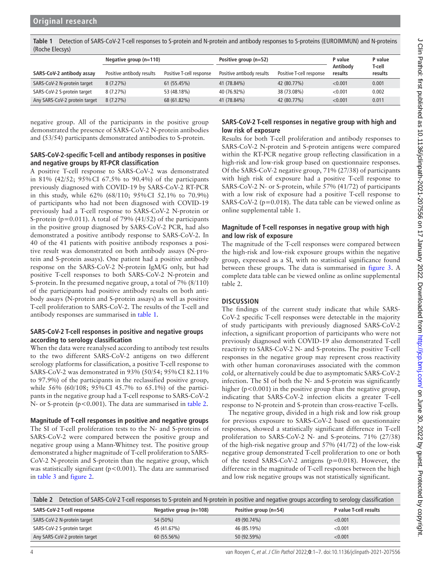<span id="page-3-0"></span>**Table 1** Detection of SARS-CoV-2 T-cell responses to S-protein and N-protein and antibody responses to S-proteins (EUROIMMUN) and N-proteins (Roche Elecsys)

|                               | Negative group $(n=110)$  |                          | Positive group (n=52)     |                          | P value             | P value           |
|-------------------------------|---------------------------|--------------------------|---------------------------|--------------------------|---------------------|-------------------|
| SARS-CoV-2 antibody assay     | Positive antibody results | Positive T-cell response | Positive antibody results | Positive T-cell response | Antibody<br>results | T-cell<br>results |
| SARS-CoV-2 N-protein target   | 8(7.27%)                  | 61 (55.45%)              | 41 (78.84%)               | 42 (80.77%)              | < 0.001             | 0.001             |
| SARS-CoV-2 S-protein target   | 8(7.27%)                  | 53 (48.18%)              | 40 (76.92%)               | 38 (73.08%)              | < 0.001             | 0.002             |
| Any SARS-CoV-2 protein target | 8(7.27%)                  | 68 (61.82%)              | 41 (78.84%)               | 42 (80.77%)              | < 0.001             | 0.011             |

negative group. All of the participants in the positive group demonstrated the presence of SARS-CoV-2 N-protein antibodies and (53/54) participants demonstrated antibodies to S-protein.

### **SARS-CoV-2-specific T-cell and antibody responses in positive and negative groups by RT-PCR classification**

A positive T-cell response to SARS-CoV-2 was demonstrated in 81% (42/52; 95%CI 67.5% to 90.4%) of the participants previously diagnosed with COVID-19 by SARS-CoV-2 RT-PCR in this study, while 62% (68/110; 95%CI 52.1% to 70.9%) of participants who had not been diagnosed with COVID-19 previously had a T-cell response to SARS-CoV-2 N-protein or S-protein (p=0.011). A total of 79% (41/52) of the participants in the positive group diagnosed by SARS-CoV-2 PCR, had also demonstrated a positive antibody response to SARS-CoV-2. In 40 of the 41 patients with positive antibody responses a positive result was demonstrated on both antibody assays (N-protein and S-protein assays). One patient had a positive antibody response on the SARS-CoV-2 N-protein IgM/G only, but had positive T-cell responses to both SARS-CoV-2 N-protein and S-protein. In the presumed negative group, a total of 7% (8/110) of the participants had positive antibody results on both antibody assays (N-protein and S-protein assays) as well as positive T-cell proliferation to SARS-CoV-2. The results of the T-cell and antibody responses are summarised in [table](#page-3-0) 1.

## **SARS-CoV-2 T-cell responses in positive and negative groups according to serology classification**

When the data were reanalysed according to antibody test results to the two different SARS-CoV-2 antigens on two different serology platforms for classification, a positive T-cell response to SARS-CoV-2 was demonstrated in 93% (50/54; 95%CI 82.11% to 97.9%) of the participants in the reclassified positive group, while 56% (60/108; 95%CI 45.7% to 65.1%) of the participants in the negative group had a T-cell response to SARS-CoV-2 N- or S-protein (p<0.001). The data are summarised in [table](#page-3-1) 2.

**Magnitude of T-cell responses in positive and negative groups** The SI of T-cell proliferation tests to the N- and S-proteins of SARS-CoV-2 were compared between the positive group and negative group using a Mann-Whitney test. The positive group demonstrated a higher magnitude of T-cell proliferation to SARS-CoV-2 N-protein and S-protein than the negative group, which was statistically significant ( $p$ <0.001). The data are summarised in [table](#page-4-0) 3 and [figure](#page-4-1) 2.

# **SARS-CoV-2 T-cell responses in negative group with high and low risk of exposure**

Results for both T-cell proliferation and antibody responses to SARS-CoV-2 N-protein and S-protein antigens were compared within the RT-PCR negative group reflecting classification in a high-risk and low-risk group based on questionnaire responses. Of the SARS-CoV-2 negative group, 71% (27/38) of participants with high risk of exposure had a positive T-cell response to SARS-CoV-2 N- or S-protein, while 57% (41/72) of participants with a low risk of exposure had a positive T-cell response to SARS-CoV-2 ( $p=0.018$ ). The data table can be viewed online as [online supplemental table 1](https://dx.doi.org/10.1136/jclinpath-2021-207556).

## **Magnitude of T-cell responses in negative group with high and low risk of exposure**

The magnitude of the T-cell responses were compared between the high-risk and low-risk exposure groups within the negative group, expressed as a SI, with no statistical significance found between these groups. The data is summarised in [figure](#page-4-2) 3. A complete data table can be viewed online as [online supplemental](https://dx.doi.org/10.1136/jclinpath-2021-207556) [table 2.](https://dx.doi.org/10.1136/jclinpath-2021-207556)

# **DISCUSSION**

The findings of the current study indicate that while SARS-CoV-2 specific T-cell responses were detectable in the majority of study participants with previously diagnosed SARS-CoV-2 infection, a significant proportion of participants who were not previously diagnosed with COVID-19 also demonstrated T-cell reactivity to SARS-CoV-2 N- and S-proteins. The positive T-cell responses in the negative group may represent cross reactivity with other human coronaviruses associated with the common cold, or alternatively could be due to asymptomatic SARS-CoV-2 infection. The SI of both the N- and S-protein was significantly higher ( $p < 0.001$ ) in the positive group than the negative group, indicating that SARS-CoV-2 infection elicits a greater T-cell response to N-protein and S-protein than cross-reactive T-cells.

The negative group, divided in a high risk and low risk group for previous exposure to SARS-CoV-2 based on questionnaire responses, showed a statistically significant difference in T-cell proliferation to SARS-CoV-2 N- and S-proteins. 71% (27/38) of the high-risk negative group and 57% (41/72) of the low-risk negative group demonstrated T-cell proliferation to one or both of the tested SARS-CoV-2 antigens (p=0.018). However, the difference in the magnitude of T-cell responses between the high and low risk negative groups was not statistically significant.

<span id="page-3-1"></span>

| Table 2<br>Detection of SARS-CoV-2 T-cell responses to S-protein and N-protein in positive and negative groups according to serology classification |                          |                         |                        |  |  |  |
|-----------------------------------------------------------------------------------------------------------------------------------------------------|--------------------------|-------------------------|------------------------|--|--|--|
| SARS-CoV-2 T-cell response                                                                                                                          | Negative group $(n=108)$ | Positive group $(n=54)$ | P value T-cell results |  |  |  |
| SARS-CoV-2 N-protein target                                                                                                                         | 54 (50%)                 | 49 (90.74%)             | < 0.001                |  |  |  |
| SARS-CoV-2 S-protein target                                                                                                                         | 45 (41.67%)              | 46 (85.19%)             | < 0.001                |  |  |  |
| Any SARS-CoV-2 protein target                                                                                                                       | 60 (55.56%)              | 50 (92.59%)             | < 0.001                |  |  |  |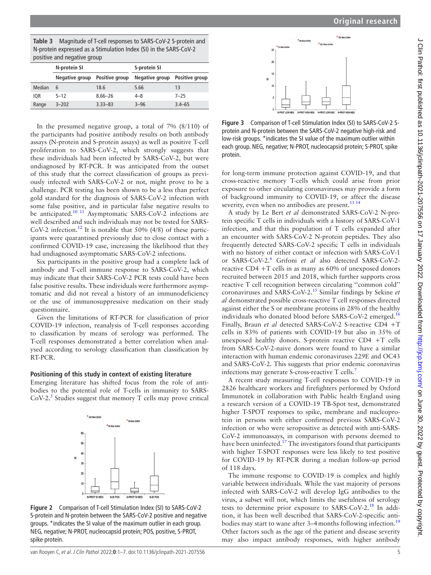<span id="page-4-0"></span>**Table 3** Magnitude of T-cell responses to SARS-CoV-2 S-protein and N-protein expressed as a Stimulation Index (SI) in the SARS-CoV-2 positive and negative group

| positive alla liegative group |                |                |                |                |  |  |  |
|-------------------------------|----------------|----------------|----------------|----------------|--|--|--|
|                               | N-protein SI   |                | S-protein SI   |                |  |  |  |
|                               | Negative group | Positive group | Negative group | Positive group |  |  |  |
| Median                        | 6              | 18.6           | 5.66           | 13             |  |  |  |
| <b>IOR</b>                    | $5 - 12$       | $8.66 - 26$    | $4 - 8$        | $7 - 25$       |  |  |  |
| Range                         | $3 - 202$      | $3.33 - 83$    | $3 - 96$       | $3.4 - 65$     |  |  |  |

In the presumed negative group, a total of 7% (8/110) of the participants had positive antibody results on both antibody assays (N-protein and S-protein assays) as well as positive T-cell proliferation to SARS-CoV-2, which strongly suggests that these individuals had been infected by SARS-CoV-2, but were undiagnosed by RT-PCR. It was anticipated from the outset of this study that the correct classification of groups as previously infected with SARS-CoV-2 or not, might prove to be a challenge. PCR testing has been shown to be a less than perfect gold standard for the diagnosis of SARS-CoV-2 infection with some false positive, and in particular false negative results to be anticipated.<sup>10 11</sup> Asymptomatic SARS-CoV-2 infections are well described and such individuals may not be tested for SARS-CoV-2 infection.<sup>12</sup> It is notable that  $50\%$  (4/8) of these participants were quarantined previously due to close contact with a confirmed COVID-19 case, increasing the likelihood that they had undiagnosed asymptomatic SARS-CoV-2 infections.

Six participants in the positive group had a complete lack of antibody and T-cell immune response to SARS-CoV-2, which may indicate that their SARS-CoV-2 PCR tests could have been false positive results. These individuals were furthermore asymptomatic and did not reveal a history of an immunodeficiency or the use of immunosuppressive medication on their study questionnaire.

Given the limitations of RT-PCR for classification of prior COVID-19 infection, reanalysis of T-cell responses according to classification by means of serology was performed. The T-cell responses demonstrated a better correlation when analysed according to serology classification than classification by RT-PCR.

# **Positioning of this study in context of existing literature**

Emerging literature has shifted focus from the role of antibodies to the potential role of T-cells in immunity to SARS- $CoV-2<sup>5</sup>$  $CoV-2<sup>5</sup>$  $CoV-2<sup>5</sup>$  Studies suggest that memory T cells may prove critical

<span id="page-4-1"></span>

**Figure 2** Comparison of T-cell Stimulation Index (SI) to SARS-CoV-2 S-protein and N-protein between the SARS-CoV-2 positive and negative groups. \*indicates the SI value of the maximum outlier in each group. NEG, negative; N-PROT, nucleocapsid protein; POS, positive, S-PROT, spike protein.

<span id="page-4-2"></span>

**Figure 3** Comparison of T-cell Stimulation Index (SI) to SARS-CoV-2 Sprotein and N-protein between the SARS-CoV-2 negative high-risk and low-risk groups. \*indicates the SI value of the maximum outlier within each group. NEG, negative; N-PROT, nucleocapsid protein; S-PROT, spike protein.

for long-term immune protection against COVID-19, and that cross-reactive memory T-cells which could arise from prior exposure to other circulating coronaviruses may provide a form of background immunity to COVID-19, or affect the disease severity, even when no antibodies are present.<sup>13 14</sup>

A study by Le Bert *et al* demonstrated SARS-CoV-2 N-protein specific T cells in individuals with a history of SARS-CoV-1 infection, and that this population of T cells expanded after an encounter with SARS-CoV-2 N-protein peptides. They also frequently detected SARS-CoV-2 specific T cells in individuals with no history of either contact or infection with SARS-CoV-1 or SARS-CoV-2.[6](#page-6-5) Grifoni *et al* also detected SARS-CoV-2 reactive CD4 +T cells in as many as 60% of unexposed donors recruited between 2015 and 2018, which further supports cross reactive T cell recognition between circulating ''common cold'' coronaviruses and SARS-CoV-2.[15](#page-6-11) Similar findings by Sekine *et al* demonstrated possible cross-reactive T cell responses directed against either the S or membrane proteins in 28% of the healthy individuals who donated blood before SARS-CoV-2 emerged.<sup>[16](#page-6-12)</sup> Finally, Braun *et al* detected SARS-CoV-2 S-reactive CD4 +T cells in 83% of patients with COVID-19 but also in 35% of unexposed healthy donors. S-protein reactive CD4 +T cells from SARS-CoV-2-naive donors were found to have a similar interaction with human endemic coronaviruses 229E and OC43 and SARS-CoV-2. This suggests that prior endemic coronavirus infections may generate S-cross-reactive T cells.<sup>[7](#page-6-13)</sup>

A recent study measuring T-cell responses to COVID-19 in 2826 healthcare workers and firefighters performed by Oxford Immunotek in collaboration with Public health England using a research version of a COVID-19 TB-Spot test, demonstrated higher T-SPOT responses to spike, membrane and nucleoprotein in persons with either confirmed previous SARS-CoV-2 infection or who were seropositive as detected with anti-SARS-CoV-2 immunoassays, in comparison with persons deemed to have been uninfected.<sup>[17](#page-6-14)</sup> The investigators found that participants with higher T-SPOT responses were less likely to test positive for COVID-19 by RT-PCR during a median follow-up period of 118 days.

The immune response to COVID-19 is complex and highly variable between individuals. While the vast majority of persons infected with SARS-CoV-2 will develop IgG antibodies to the virus, a subset will not, which limits the usefulness of serology tests to determine prior exposure to SARS-CoV-2[.18](#page-6-15) In addition, it has been well described that SARS-CoV-2-specific anti-bodies may start to wane after 3–4 months following infection.<sup>[19](#page-6-16)</sup> Other factors such as the age of the patient and disease severity may also impact antibody responses, with higher antibody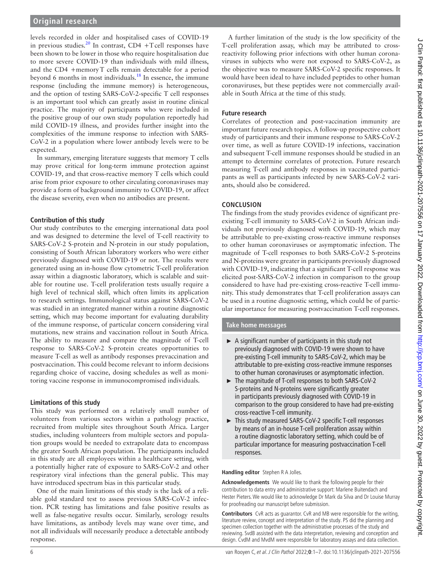levels recorded in older and hospitalised cases of COVID-19 in previous studies.<sup>20</sup> In contrast, CD4 +T cell responses have been shown to be lower in those who require hospitalisation due to more severe COVID-19 than individuals with mild illness, and the CD4 +memoryT cells remain detectable for a period beyond 6 months in most individuals.<sup>[18](#page-6-15)</sup> In essence, the immune response (including the immune memory) is heterogeneous, and the option of testing SARS-CoV-2-specific T cell responses is an important tool which can greatly assist in routine clinical practice. The majority of participants who were included in the positive group of our own study population reportedly had mild COVID-19 illness, and provides further insight into the complexities of the immune response to infection with SARS-CoV-2 in a population where lower antibody levels were to be expected.

In summary, emerging literature suggests that memory T cells may prove critical for long-term immune protection against COVID-19, and that cross-reactive memory T cells which could arise from prior exposure to other circulating coronaviruses may provide a form of background immunity to COVID-19, or affect the disease severity, even when no antibodies are present.

## **Contribution of this study**

Our study contributes to the emerging international data pool and was designed to determine the level of T-cell reactivity to SARS-CoV-2 S-protein and N-protein in our study population, consisting of South African laboratory workers who were either previously diagnosed with COVID-19 or not. The results were generated using an in-house flow cytometric T-cell proliferation assay within a diagnostic laboratory, which is scalable and suitable for routine use. T-cell proliferation tests usually require a high level of technical skill, which often limits its application to research settings. Immunological status against SARS-CoV-2 was studied in an integrated manner within a routine diagnostic setting, which may become important for evaluating durability of the immune response, of particular concern considering viral mutations, new strains and vaccination rollout in South Africa. The ability to measure and compare the magnitude of T-cell response to SARS-CoV-2 S-protein creates opportunities to measure T-cell as well as antibody responses prevaccination and postvaccination. This could become relevant to inform decisions regarding choice of vaccine, dosing schedules as well as monitoring vaccine response in immunocompromised individuals.

## **Limitations of this study**

This study was performed on a relatively small number of volunteers from various sectors within a pathology practice, recruited from multiple sites throughout South Africa. Larger studies, including volunteers from multiple sectors and population groups would be needed to extrapolate data to encompass the greater South African population. The participants included in this study are all employees within a healthcare setting, with a potentially higher rate of exposure to SARS-CoV-2 and other respiratory viral infections than the general public. This may have introduced spectrum bias in this particular study.

One of the main limitations of this study is the lack of a reliable gold standard test to assess previous SARS-CoV-2 infection. PCR testing has limitations and false positive results as well as false-negative results occur. Similarly, serology results have limitations, as antibody levels may wane over time, and not all individuals will necessarily produce a detectable antibody response.

A further limitation of the study is the low specificity of the T-cell proliferation assay, which may be attributed to crossreactivity following prior infections with other human coronaviruses in subjects who were not exposed to SARS-CoV-2, as the objective was to measure SARS-CoV-2 specific responses. It would have been ideal to have included peptides to other human coronaviruses, but these peptides were not commercially available in South Africa at the time of this study.

# **Future research**

Correlates of protection and post-vaccination immunity are important future research topics. A follow-up prospective cohort study of participants and their immune response to SARS-CoV-2 over time, as well as future COVID-19 infections, vaccination and subsequent T-cell immune responses should be studied in an attempt to determine correlates of protection. Future research measuring T-cell and antibody responses in vaccinated participants as well as participants infected by new SARS-CoV-2 variants, should also be considered.

# **CONCLUSION**

The findings from the study provides evidence of significant preexisting T-cell immunity to SARS-CoV-2 in South African individuals not previously diagnosed with COVID-19, which may be attributable to pre-existing cross-reactive immune responses to other human coronaviruses or asymptomatic infection. The magnitude of T-cell responses to both SARS-CoV-2 S-proteins and N-proteins were greater in participants previously diagnosed with COVID-19, indicating that a significant T-cell response was elicited post-SARS-CoV-2 infection in comparison to the group considered to have had pre-existing cross-reactive T-cell immunity. This study demonstrates that T-cell proliferation assays can be used in a routine diagnostic setting, which could be of particular importance for measuring postvaccination T-cell responses.

## **Take home messages**

- $\triangleright$  A significant number of participants in this study not previously diagnosed with COVID-19 were shown to have pre-existing T-cell immunity to SARS-CoV-2, which may be attributable to pre-existing cross-reactive immune responses to other human coronaviruses or asymptomatic infection.
- ► The magnitude of T-cell responses to both SARS-CoV-2 S-proteins and N-proteins were significantly greater in participants previously diagnosed with COVID-19 in comparison to the group considered to have had pre-existing cross-reactive T-cell immunity.
- ► This study measured SARS-CoV-2 specific T-cell responses by means of an in-house T-cell proliferation assay within a routine diagnostic laboratory setting, which could be of particular importance for measuring postvaccination T-cell responses.

**Handling editor** Stephen R A Jolles.

**Acknowledgements** We would like to thank the following people for their contribution to data entry and administrative support: Marlene Buitendach and Hester Pieters. We would like to acknowledge Dr Mark da Silva and Dr Louise Murray for proofreading our manuscript before submission.

**Contributors** CvR acts as guarantor. CvR and MB were responsible for the writing, literature review, concept and interpretation of the study. PS did the planning and specimen collection together with the administrative processes of the study and reviewing. SvdB assisted with the data interpretation, reviewing and conception and design. CvdM and MvdM were responsible for laboratory assays and data collection.